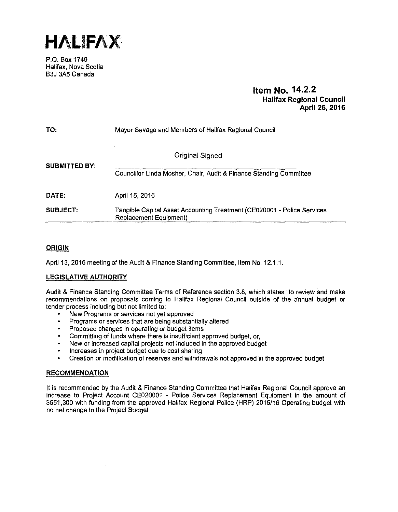**HALIFAX** 

P.O. Box 1749 Halifax, Nova Scotia B3J 3A5 Canada

# **Item No. 14.2.2 Halifax Regional Council April 26, 2016**

| TO:                  | Mayor Savage and Members of Halifax Regional Council                                 |  |
|----------------------|--------------------------------------------------------------------------------------|--|
| <b>SUBMITTED BY:</b> | Original Signed                                                                      |  |
| DATE:                | Councillor Linda Mosher, Chair, Audit & Finance Standing Committee<br>April 15, 2016 |  |
| <b>SUBJECT:</b>      | Tangible Capital Asset Accounting Treatment (CE020001 - Police Services              |  |
|                      | Replacement Equipment)                                                               |  |

# **ORIGIN**

April 13, 2016 meeting of the Audit & Finance Standing Committee, Item No. 12.1.1.

# **LEGISLATIVE AUTHORITY**

Audit & Finance Standing Committee Terms of Reference section 3.8, which states "to review and make recommendations on proposals coming to Halifax Regional Council outside of the annual budget or tender process including but not limited to:

- New Programs or services not yet approved
- Programs or services that are being substantially altered  $\bullet$
- Proposed changes in operating or budget items  $\bullet$
- Committing of funds where there is insufficient approved budget, or,
- New or increased capital projects not included in the approved budget
- Increases in project budget due to cost sharing
- Creation or modification of reserves and withdrawals not approved in the approved budget

# **RECOMMENDATION**

It is recommended by the Audit & Finance Standing Committee that Halifax Regional Council approve an increase to Project Account CE020001 - Police Services Replacement Equipment in the amount of \$551,300 with funding from the approved Halifax Regional Police (HRP) 2015/16 Operating budget with no net change to the Project Budget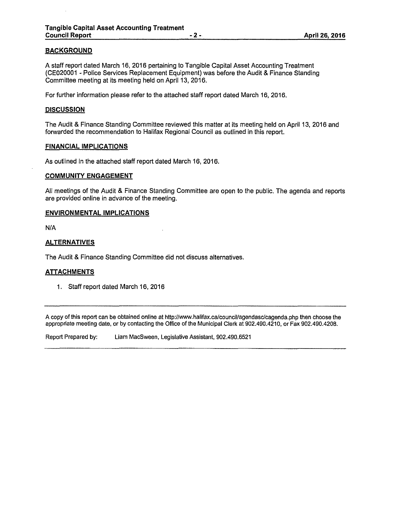# **BACKGROUND**

A staff report dated March 16, 2016 pertaining to Tangible Capital Asset Accounting Treatment (CE020001 - Police Services Replacement Equipment) was before the Audit & Finance Standing Committee meeting at its meeting held on April 13, 2016.

For further information please refer to the attached staff report dated March 16, 2016.

# **DISCUSSION**

The Audit & Finance Standing Committee reviewed this matter at its meeting held on April 13, 2016 and forwarded the recommendation to Halifax Regional Council as outlined in this report.

# **FINANCIAL IMPLICATIONS**

As outlined in the attached staff report dated March 16, 2016.

#### **COMMUNITY ENGAGEMENT**

All meetings of the Audit & Finance Standing Committee are open to the public. The agenda and reports are provided online in advance of the meeting.

#### **ENVIRONMENTAL IMPLICATIONS**

N/A

# **ALTERNATIVES**

The Audit & Finance Standing Committee did not discuss alternatives.

# **ATTACHMENTS**

1. Staff report dated March 16, 2016

A copy of this report can be obtained online at http://www.halifax.ca/council/agendasc/cagenda.php then choose the appropriate meeting date, or by contacting the Office of the Municipal Clerk at 902.490.4210, or Fax 902.490.4208.

Report Prepared by: Liam MacSween, Legislative Assistant, 902.490.6521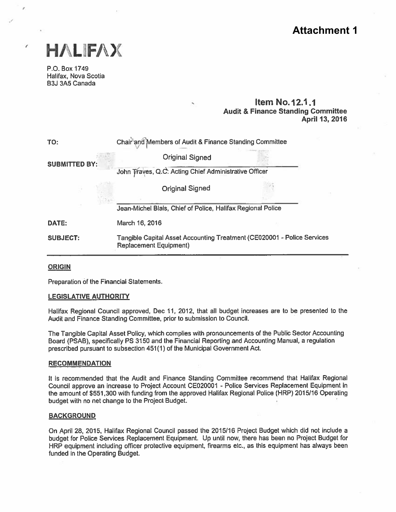# **Attachment 1**



# Item No.12.1.1 Audit & Finance Standing Committee April 13, 2016

|                                                                |                                                                                                          | <b>Attachme</b>                                                                             |  |
|----------------------------------------------------------------|----------------------------------------------------------------------------------------------------------|---------------------------------------------------------------------------------------------|--|
| HALIFAX                                                        |                                                                                                          |                                                                                             |  |
| P.O. Box 1749<br>Halifax, Nova Scotia<br><b>B3J 3A5 Canada</b> |                                                                                                          |                                                                                             |  |
|                                                                |                                                                                                          | <b>Item No.12.1.1</b><br><b>Audit &amp; Finance Standing Committ</b><br><b>April 13, 20</b> |  |
| TO:                                                            | Chair and Members of Audit & Finance Standing Committee                                                  |                                                                                             |  |
| <b>SUBMITTED BY:</b>                                           | <b>Original Signed</b>                                                                                   |                                                                                             |  |
|                                                                | John Traves, Q.C. Acting Chief Administrative Officer                                                    |                                                                                             |  |
|                                                                | <b>Original Signed</b>                                                                                   |                                                                                             |  |
|                                                                | Jean-Michel Blais, Chief of Police, Halifax Regional Police                                              |                                                                                             |  |
| DATE:                                                          | March 16, 2016                                                                                           |                                                                                             |  |
| <b>SUBJECT:</b>                                                | Tangible Capital Asset Accounting Treatment (CE020001 - Police Services<br><b>Replacement Equipment)</b> |                                                                                             |  |

# **ORIGIN**

Preparation of the Financial Statements.

#### LEGISLATIVE AUTHORITY

Halifax Regional Council approved, Dec 11, 2012, that all budget increases are to be presented to the Audit and Finance Standing Committee, prior to submission to Council.

The Tangible Capital Asset Policy, which complies with pronouncements of the Public Sector Accounting Board (PSAB), specifically PS 3150 and the Financial Reporting and Accounting Manual, <sup>a</sup> regulation prescribed pursuan<sup>t</sup> to subsection 451(1) of the Municipal Government Act.

#### RECOMMENDATION

It is recommended that the Audit and Finance Standing Committee recommend that Halifax Regional Council approve an increase to Project Account CEO20001 - Police Services Replacement Equipment in the amount of \$551,300 with funding from the approved Halifax Regional Police (HRP) 2015/16 Operating budget with no net change to the Project Budget.

#### **BACKGROUND**

On April 28, 2015, Halifax Regional Council passed the 2015/16 Project Budget which did not include <sup>a</sup> budget for Police Services Replacement Equipment. Up until now, there has been no Project Budget for HRP equipment including officer protective equipment, firearms etc., as this equipment has always been funded in the Operating Budget.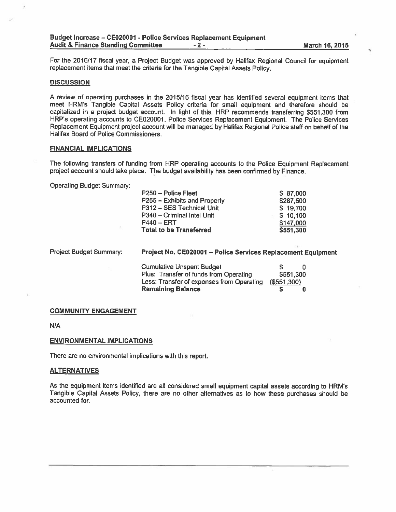For the 2016/17 fiscal year, a Project Budget was approved by Halifax Regional Council for equipment replacement items that meet the criteria for the Tangible Capital Assets Policy.

#### **DISCUSSION**

A review of operating purchases in the 2015/16 fiscal year has identified several equipment items that meet HRM's Tangible Capital Assets Policy criteria for small equipment and therefore should be capitalized in <sup>a</sup> project budget account. In light of this, HRP recommends transferring \$551 300 from HRP's operating accounts to CEO20001, Police Services Replacement Equipment. The Police Services Replacement Equipment project account will be managed by Halifax Regional Police staff on behalf of the Halifax Board of Police Commissioners.

#### FINANCIAL IMPLICATIONS

The following transfers of funding from HRP operating accounts to the Police Equipment Replacement project account should take <sup>p</sup>lace. The budget availability has been confirmed by Finance.

Operating Budget Summary:

| P250 - Police Fleet            | \$87,000  |
|--------------------------------|-----------|
| P255 - Exhibits and Property   | \$287,500 |
| P312 – SES Technical Unit      | \$19,700  |
| P340 – Criminal Intel Unit     | \$10,100  |
| P440 – ERT                     | \$147,000 |
| <b>Total to be Transferred</b> | \$551,300 |

Project Budget Summary: Project No. CE020001 - Police Services Replacement Equipment

| Cumulative Unspent Budget                 |             |  |
|-------------------------------------------|-------------|--|
| Plus: Transfer of funds from Operating    | \$551,300   |  |
| Less: Transfer of expenses from Operating | (\$551,300) |  |
| Remaining Balance                         |             |  |

#### COMMUNITY ENGAGEMENT

N/A

#### ENVIRONMENTAL IMPLICATIONS

There are no environmental implications with this report.

#### **ALTERNATIVES**

As the equipment items identified are all considered small equipment capital assets according to HRM's Tangible Capital Assets Policy, there are no other alternatives as to how these purchases should be accounted for.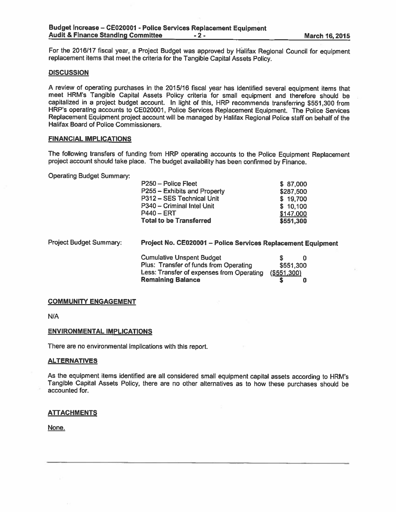For the 2016/17 fiscal year, a Project Budget was approved by Halifax Regional Council for equipment replacement items that meet the criteria for the Tangible Capital Assets Policy.

#### **DISCUSSION**

A review of operating purchases in the 2015/16 fiscal year has identified several equipment items that meet HRM's Tangible Capital Assets Policy criteria for small equipment and therefore should be capitalized in <sup>a</sup> project budget account. In light of this, HRP recommends transferring \$551,300 from HRP's operating accounts to CEO2000I, Police Services Replacement Equipment. The Police Services Replacement Equipment project account will be manage<sup>d</sup> by Halifax Regional Police staff on behalf of the Halifax Board of Police Commissioners.

#### FINANCIAL IMPLICATIONS

The following transfers of funding from HRP operating accounts to the Police Equipment Replacement project account should take <sup>p</sup>lace. The budget availability has been confirmed by Finance.

Operating Budget Summary:

| P250 - Police Fleet            | \$87,000  |
|--------------------------------|-----------|
| P255 - Exhibits and Property   | \$287,500 |
| P312 - SES Technical Unit      | \$19,700  |
| P340 - Criminal Intel Unit     | \$10,100  |
| P440 – ERT                     | \$147,000 |
| <b>Total to be Transferred</b> | \$551,300 |

| <b>Project Budget Summary:</b> | Project No. CE020001 - Police Services Replacement Equipment |             |  |
|--------------------------------|--------------------------------------------------------------|-------------|--|
|                                | <b>Cumulative Unspent Budget</b>                             |             |  |
|                                | Plus: Transfer of funds from Operating                       | \$551,300   |  |
|                                | Less: Transfer of expenses from Operating                    | (\$551,300) |  |
|                                | <b>Remaining Balance</b>                                     |             |  |

#### COMMUNITY ENGAGEMENT

N/A

#### ENVIRONMENTAL IMPLICATIONS

There are no environmental implications with this report.

#### ALTERNATIVES

As the equipment items identified are all considered small equipment capital assets according to HRM's Tangible Capital Assets Policy, there are no other alternatives as to how these purchases should be accounted for.

#### **ATTACHMENTS**

None.